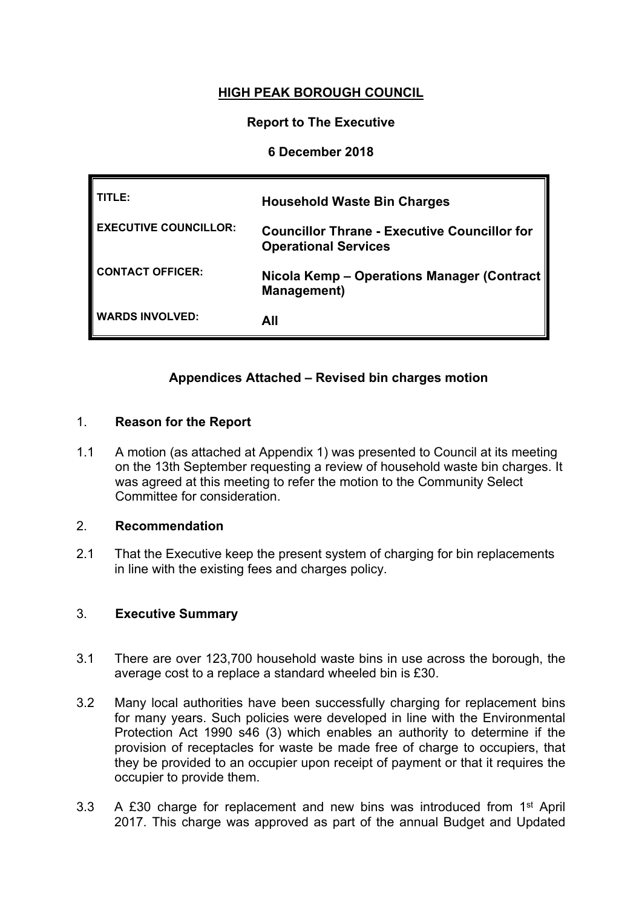# **HIGH PEAK BOROUGH COUNCIL**

## **Report to The Executive**

## **6 December 2018**

| TITLE:                       | <b>Household Waste Bin Charges</b>                                                 |
|------------------------------|------------------------------------------------------------------------------------|
| <b>EXECUTIVE COUNCILLOR:</b> | <b>Councillor Thrane - Executive Councillor for</b><br><b>Operational Services</b> |
| <b>CONTACT OFFICER:</b>      | Nicola Kemp - Operations Manager (Contract   <br><b>Management</b> )               |
| <b>WARDS INVOLVED:</b>       | All                                                                                |

## **Appendices Attached – Revised bin charges motion**

#### 1. **Reason for the Report**

1.1 A motion (as attached at Appendix 1) was presented to Council at its meeting on the 13th September requesting a review of household waste bin charges. It was agreed at this meeting to refer the motion to the Community Select Committee for consideration.

## 2. **Recommendation**

2.1 That the Executive keep the present system of charging for bin replacements in line with the existing fees and charges policy.

## 3. **Executive Summary**

- 3.1 There are over 123,700 household waste bins in use across the borough, the average cost to a replace a standard wheeled bin is £30.
- 3.2 Many local authorities have been successfully charging for replacement bins for many years. Such policies were developed in line with the Environmental Protection Act 1990 s46 (3) which enables an authority to determine if the provision of receptacles for waste be made free of charge to occupiers, that they be provided to an occupier upon receipt of payment or that it requires the occupier to provide them.
- 3.3 A £30 charge for replacement and new bins was introduced from 1<sup>st</sup> April 2017. This charge was approved as part of the annual Budget and Updated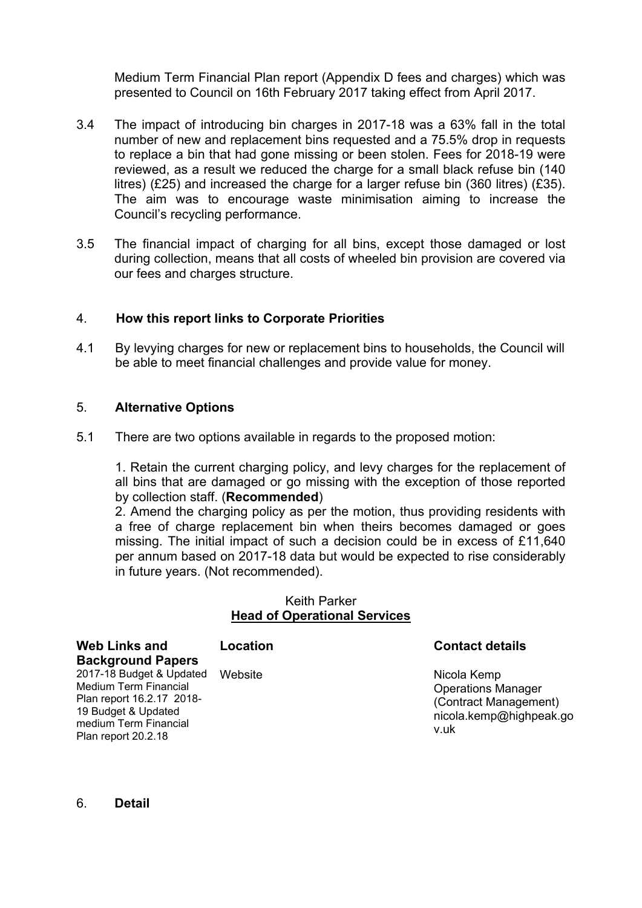Medium Term Financial Plan report (Appendix D fees and charges) which was presented to Council on 16th February 2017 taking effect from April 2017.

- 3.4 The impact of introducing bin charges in 2017-18 was a 63% fall in the total number of new and replacement bins requested and a 75.5% drop in requests to replace a bin that had gone missing or been stolen. Fees for 2018-19 were reviewed, as a result we reduced the charge for a small black refuse bin (140 litres) (£25) and increased the charge for a larger refuse bin (360 litres) (£35). The aim was to encourage waste minimisation aiming to increase the Council's recycling performance.
- 3.5 The financial impact of charging for all bins, except those damaged or lost during collection, means that all costs of wheeled bin provision are covered via our fees and charges structure.

## 4. **How this report links to Corporate Priorities**

4.1 By levying charges for new or replacement bins to households, the Council will be able to meet financial challenges and provide value for money.

#### 5. **Alternative Options**

5.1 There are two options available in regards to the proposed motion:

1. Retain the current charging policy, and levy charges for the replacement of all bins that are damaged or go missing with the exception of those reported by collection staff. (**Recommended**)

2. Amend the charging policy as per the motion, thus providing residents with a free of charge replacement bin when theirs becomes damaged or goes missing. The initial impact of such a decision could be in excess of £11,640 per annum based on 2017-18 data but would be expected to rise considerably in future years. (Not recommended).

#### Keith Parker **Head of Operational Services**

| <b>Web Links and</b>                                                                                                                                  | Location | <b>Contact details</b>                                                                               |
|-------------------------------------------------------------------------------------------------------------------------------------------------------|----------|------------------------------------------------------------------------------------------------------|
| <b>Background Papers</b>                                                                                                                              |          |                                                                                                      |
| 2017-18 Budget & Updated<br>Medium Term Financial<br>Plan report 16.2.17 2018-<br>19 Budget & Updated<br>medium Term Financial<br>Plan report 20.2.18 | Website  | Nicola Kemp<br><b>Operations Manager</b><br>(Contract Management)<br>nicola.kemp@highpeak.go<br>v.uk |

6. **Detail**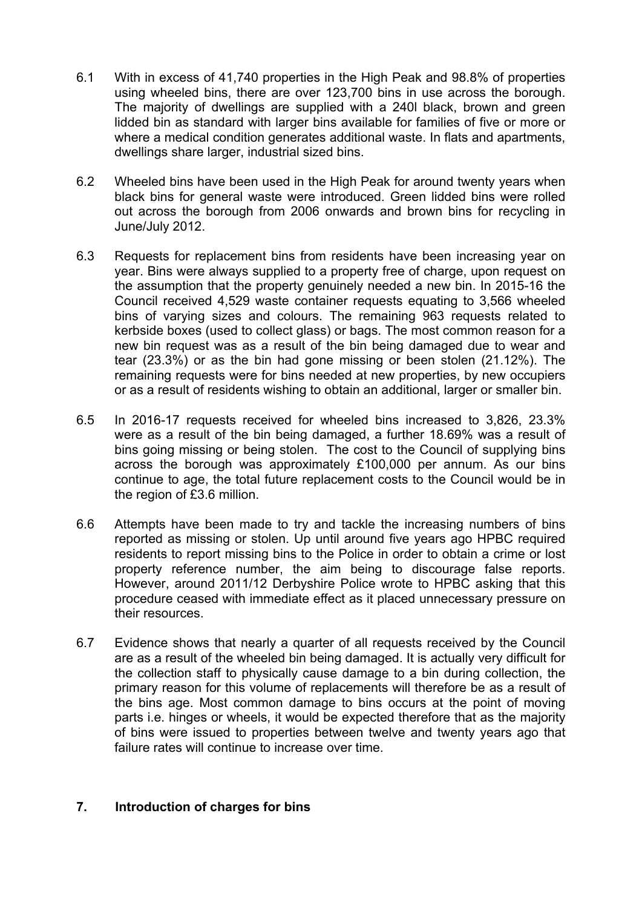- 6.1 With in excess of 41,740 properties in the High Peak and 98.8% of properties using wheeled bins, there are over 123,700 bins in use across the borough. The majority of dwellings are supplied with a 240l black, brown and green lidded bin as standard with larger bins available for families of five or more or where a medical condition generates additional waste. In flats and apartments, dwellings share larger, industrial sized bins.
- 6.2 Wheeled bins have been used in the High Peak for around twenty years when black bins for general waste were introduced. Green lidded bins were rolled out across the borough from 2006 onwards and brown bins for recycling in June/July 2012.
- 6.3 Requests for replacement bins from residents have been increasing year on year. Bins were always supplied to a property free of charge, upon request on the assumption that the property genuinely needed a new bin. In 2015-16 the Council received 4,529 waste container requests equating to 3,566 wheeled bins of varying sizes and colours. The remaining 963 requests related to kerbside boxes (used to collect glass) or bags. The most common reason for a new bin request was as a result of the bin being damaged due to wear and tear (23.3%) or as the bin had gone missing or been stolen (21.12%). The remaining requests were for bins needed at new properties, by new occupiers or as a result of residents wishing to obtain an additional, larger or smaller bin.
- 6.5 In 2016-17 requests received for wheeled bins increased to 3,826, 23.3% were as a result of the bin being damaged, a further 18.69% was a result of bins going missing or being stolen. The cost to the Council of supplying bins across the borough was approximately £100,000 per annum. As our bins continue to age, the total future replacement costs to the Council would be in the region of £3.6 million.
- 6.6 Attempts have been made to try and tackle the increasing numbers of bins reported as missing or stolen. Up until around five years ago HPBC required residents to report missing bins to the Police in order to obtain a crime or lost property reference number, the aim being to discourage false reports. However, around 2011/12 Derbyshire Police wrote to HPBC asking that this procedure ceased with immediate effect as it placed unnecessary pressure on their resources.
- 6.7 Evidence shows that nearly a quarter of all requests received by the Council are as a result of the wheeled bin being damaged. It is actually very difficult for the collection staff to physically cause damage to a bin during collection, the primary reason for this volume of replacements will therefore be as a result of the bins age. Most common damage to bins occurs at the point of moving parts i.e. hinges or wheels, it would be expected therefore that as the majority of bins were issued to properties between twelve and twenty years ago that failure rates will continue to increase over time.

# **7. Introduction of charges for bins**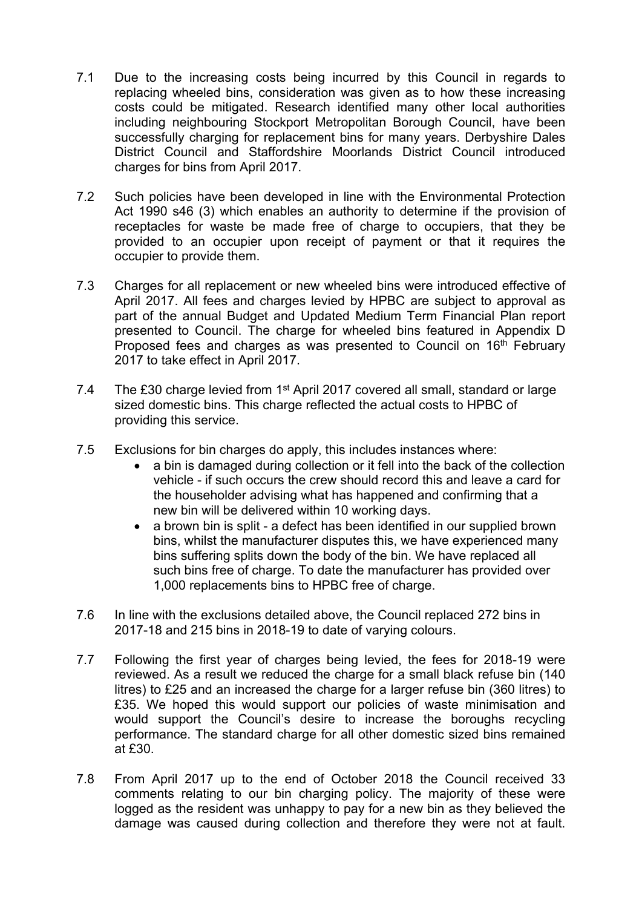- 7.1 Due to the increasing costs being incurred by this Council in regards to replacing wheeled bins, consideration was given as to how these increasing costs could be mitigated. Research identified many other local authorities including neighbouring Stockport Metropolitan Borough Council, have been successfully charging for replacement bins for many years. Derbyshire Dales District Council and Staffordshire Moorlands District Council introduced charges for bins from April 2017.
- 7.2 Such policies have been developed in line with the Environmental Protection Act 1990 s46 (3) which enables an authority to determine if the provision of receptacles for waste be made free of charge to occupiers, that they be provided to an occupier upon receipt of payment or that it requires the occupier to provide them.
- 7.3 Charges for all replacement or new wheeled bins were introduced effective of April 2017. All fees and charges levied by HPBC are subject to approval as part of the annual Budget and Updated Medium Term Financial Plan report presented to Council. The charge for wheeled bins featured in Appendix D Proposed fees and charges as was presented to Council on 16<sup>th</sup> February 2017 to take effect in April 2017.
- 7.4 The £30 charge levied from 1<sup>st</sup> April 2017 covered all small, standard or large sized domestic bins. This charge reflected the actual costs to HPBC of providing this service.
- 7.5 Exclusions for bin charges do apply, this includes instances where:
	- a bin is damaged during collection or it fell into the back of the collection vehicle - if such occurs the crew should record this and leave a card for the householder advising what has happened and confirming that a new bin will be delivered within 10 working days.
	- a brown bin is split a defect has been identified in our supplied brown bins, whilst the manufacturer disputes this, we have experienced many bins suffering splits down the body of the bin. We have replaced all such bins free of charge. To date the manufacturer has provided over 1,000 replacements bins to HPBC free of charge.
- 7.6 In line with the exclusions detailed above, the Council replaced 272 bins in 2017-18 and 215 bins in 2018-19 to date of varying colours.
- 7.7 Following the first year of charges being levied, the fees for 2018-19 were reviewed. As a result we reduced the charge for a small black refuse bin (140 litres) to £25 and an increased the charge for a larger refuse bin (360 litres) to £35. We hoped this would support our policies of waste minimisation and would support the Council's desire to increase the boroughs recycling performance. The standard charge for all other domestic sized bins remained at £30.
- 7.8 From April 2017 up to the end of October 2018 the Council received 33 comments relating to our bin charging policy. The majority of these were logged as the resident was unhappy to pay for a new bin as they believed the damage was caused during collection and therefore they were not at fault.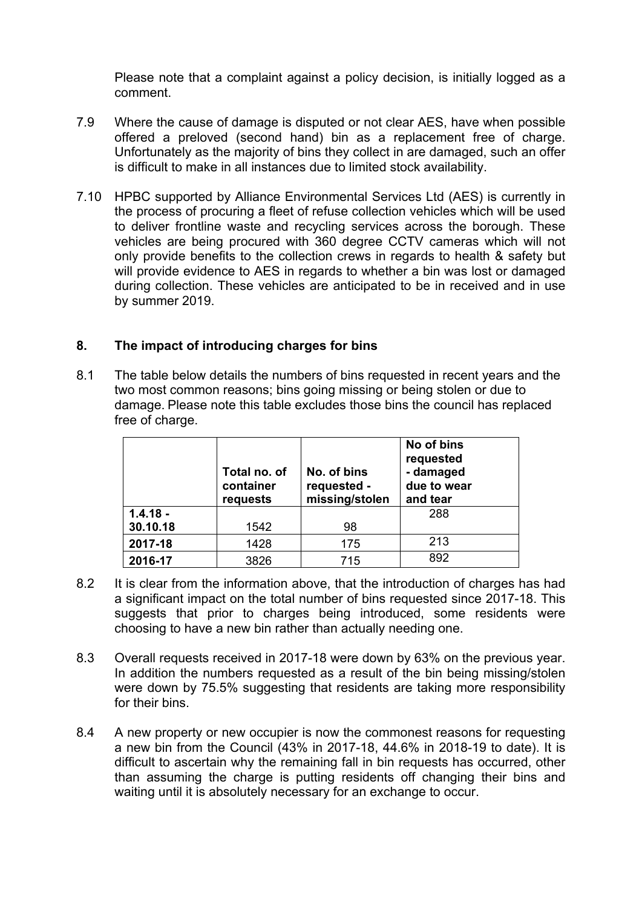Please note that a complaint against a policy decision, is initially logged as a comment.

- 7.9 Where the cause of damage is disputed or not clear AES, have when possible offered a preloved (second hand) bin as a replacement free of charge. Unfortunately as the majority of bins they collect in are damaged, such an offer is difficult to make in all instances due to limited stock availability.
- 7.10 HPBC supported by Alliance Environmental Services Ltd (AES) is currently in the process of procuring a fleet of refuse collection vehicles which will be used to deliver frontline waste and recycling services across the borough. These vehicles are being procured with 360 degree CCTV cameras which will not only provide benefits to the collection crews in regards to health & safety but will provide evidence to AES in regards to whether a bin was lost or damaged during collection. These vehicles are anticipated to be in received and in use by summer 2019.

## **8. The impact of introducing charges for bins**

8.1 The table below details the numbers of bins requested in recent years and the two most common reasons; bins going missing or being stolen or due to damage. Please note this table excludes those bins the council has replaced free of charge.

|            | Total no. of<br>container<br>requests | No. of bins<br>requested -<br>missing/stolen | No of bins<br>requested<br>- damaged<br>due to wear<br>and tear |
|------------|---------------------------------------|----------------------------------------------|-----------------------------------------------------------------|
| $1.4.18 -$ |                                       |                                              | 288                                                             |
| 30.10.18   | 1542                                  | 98                                           |                                                                 |
| 2017-18    | 1428                                  | 175                                          | 213                                                             |
| 2016-17    | 3826                                  | 715                                          | 892                                                             |

- 8.2 It is clear from the information above, that the introduction of charges has had a significant impact on the total number of bins requested since 2017-18. This suggests that prior to charges being introduced, some residents were choosing to have a new bin rather than actually needing one.
- 8.3 Overall requests received in 2017-18 were down by 63% on the previous year. In addition the numbers requested as a result of the bin being missing/stolen were down by 75.5% suggesting that residents are taking more responsibility for their bins.
- 8.4 A new property or new occupier is now the commonest reasons for requesting a new bin from the Council (43% in 2017-18, 44.6% in 2018-19 to date). It is difficult to ascertain why the remaining fall in bin requests has occurred, other than assuming the charge is putting residents off changing their bins and waiting until it is absolutely necessary for an exchange to occur.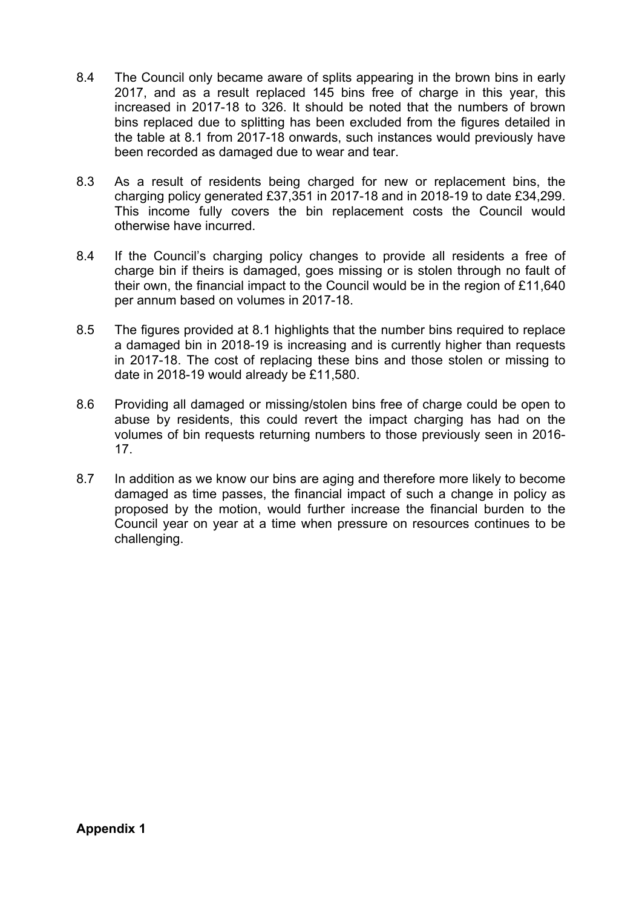- 8.4 The Council only became aware of splits appearing in the brown bins in early 2017, and as a result replaced 145 bins free of charge in this year, this increased in 2017-18 to 326. It should be noted that the numbers of brown bins replaced due to splitting has been excluded from the figures detailed in the table at 8.1 from 2017-18 onwards, such instances would previously have been recorded as damaged due to wear and tear.
- 8.3 As a result of residents being charged for new or replacement bins, the charging policy generated £37,351 in 2017-18 and in 2018-19 to date £34,299. This income fully covers the bin replacement costs the Council would otherwise have incurred.
- 8.4 If the Council's charging policy changes to provide all residents a free of charge bin if theirs is damaged, goes missing or is stolen through no fault of their own, the financial impact to the Council would be in the region of £11,640 per annum based on volumes in 2017-18.
- 8.5 The figures provided at 8.1 highlights that the number bins required to replace a damaged bin in 2018-19 is increasing and is currently higher than requests in 2017-18. The cost of replacing these bins and those stolen or missing to date in 2018-19 would already be £11,580.
- 8.6 Providing all damaged or missing/stolen bins free of charge could be open to abuse by residents, this could revert the impact charging has had on the volumes of bin requests returning numbers to those previously seen in 2016- 17.
- 8.7 In addition as we know our bins are aging and therefore more likely to become damaged as time passes, the financial impact of such a change in policy as proposed by the motion, would further increase the financial burden to the Council year on year at a time when pressure on resources continues to be challenging.